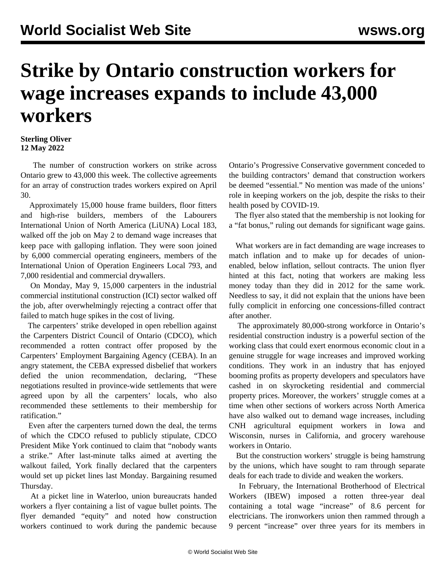## **Strike by Ontario construction workers for wage increases expands to include 43,000 workers**

## **Sterling Oliver 12 May 2022**

 The number of construction workers on strike across Ontario grew to 43,000 this week. The collective agreements for an array of construction trades workers expired on April 30.

 Approximately 15,000 house frame builders, floor fitters and high-rise builders, members of the Labourers International Union of North America (LiUNA) Local 183, walked off the job on May 2 to demand wage increases that keep pace with galloping inflation. They were soon joined by 6,000 commercial operating engineers, members of the International Union of Operation Engineers Local 793, and 7,000 residential and commercial drywallers.

 On Monday, May 9, 15,000 carpenters in the industrial commercial institutional construction (ICI) sector walked off the job, after overwhelmingly rejecting a contract offer that failed to match huge spikes in the cost of living.

 The carpenters' strike developed in open rebellion against the Carpenters District Council of Ontario (CDCO), which recommended a rotten contract offer proposed by the Carpenters' Employment Bargaining Agency (CEBA). In an angry statement, the CEBA expressed disbelief that workers defied the union recommendation, declaring, "These negotiations resulted in province-wide settlements that were agreed upon by all the carpenters' locals, who also recommended these settlements to their membership for ratification."

 Even after the carpenters turned down the deal, the terms of which the CDCO refused to publicly stipulate, CDCO President Mike York continued to claim that "nobody wants a strike." After last-minute talks aimed at averting the walkout failed, York finally declared that the carpenters would set up picket lines last Monday. Bargaining resumed Thursday.

 At a picket line in Waterloo, union bureaucrats handed workers a flyer containing a list of vague bullet points. The flyer demanded "equity" and noted how construction workers continued to work during the pandemic because Ontario's Progressive Conservative government conceded to the building contractors' demand that construction workers be deemed "essential." No mention was made of the unions' role in keeping workers on the job, despite the risks to their health posed by COVID-19.

 The flyer also stated that the membership is not looking for a "fat bonus," ruling out demands for significant wage gains.

 What workers are in fact demanding are wage increases to match inflation and to make up for decades of unionenabled, below inflation, sellout contracts. The union flyer hinted at this fact, noting that workers are making less money today than they did in 2012 for the same work. Needless to say, it did not explain that the unions have been fully complicit in enforcing one concessions-filled contract after another.

 The approximately 80,000-strong workforce in Ontario's residential construction industry is a powerful section of the working class that could exert enormous economic clout in a genuine struggle for wage increases and improved working conditions. They work in an industry that has enjoyed booming profits as property developers and speculators have cashed in on skyrocketing residential and commercial property prices. Moreover, the workers' struggle comes at a time when other sections of workers across North America have also walked out to demand wage increases, including CNH agricultural equipment workers in Iowa and Wisconsin, nurses in California, and grocery warehouse workers in Ontario.

 But the construction workers' struggle is being hamstrung by the unions, which have sought to ram through separate deals for each trade to divide and weaken the workers.

 In February, the International Brotherhood of Electrical Workers (IBEW) imposed a rotten three-year deal containing a total wage "increase" of 8.6 percent for electricians. The ironworkers union then rammed through a 9 percent "increase" over three years for its members in